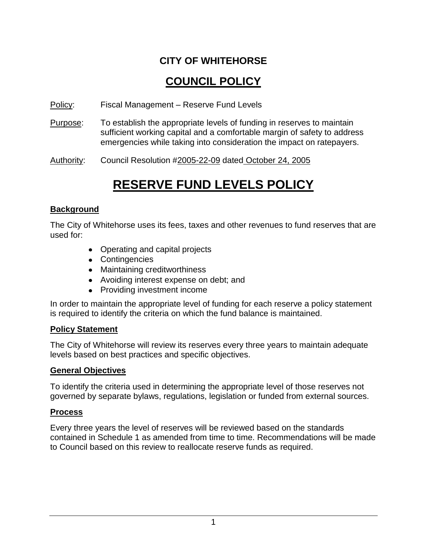## **CITY OF WHITEHORSE**

# **COUNCIL POLICY**

Policy: Fiscal Management – Reserve Fund Levels

Purpose: To establish the appropriate levels of funding in reserves to maintain sufficient working capital and a comfortable margin of safety to address emergencies while taking into consideration the impact on ratepayers.

Authority: Council Resolution #2005-22-09 dated October 24, 2005

# **RESERVE FUND LEVELS POLICY**

#### **Background**

The City of Whitehorse uses its fees, taxes and other revenues to fund reserves that are used for:

- Operating and capital projects
- Contingencies
- Maintaining creditworthiness
- Avoiding interest expense on debt; and
- Providing investment income

In order to maintain the appropriate level of funding for each reserve a policy statement is required to identify the criteria on which the fund balance is maintained.

#### **Policy Statement**

The City of Whitehorse will review its reserves every three years to maintain adequate levels based on best practices and specific objectives.

#### **General Objectives**

To identify the criteria used in determining the appropriate level of those reserves not governed by separate bylaws, regulations, legislation or funded from external sources.

#### **Process**

Every three years the level of reserves will be reviewed based on the standards contained in Schedule 1 as amended from time to time. Recommendations will be made to Council based on this review to reallocate reserve funds as required.